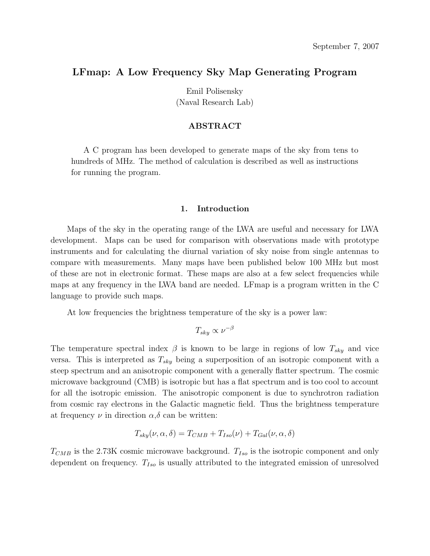## LFmap: A Low Frequency Sky Map Generating Program

Emil Polisensky (Naval Research Lab)

### ABSTRACT

A C program has been developed to generate maps of the sky from tens to hundreds of MHz. The method of calculation is described as well as instructions for running the program.

### 1. Introduction

Maps of the sky in the operating range of the LWA are useful and necessary for LWA development. Maps can be used for comparison with observations made with prototype instruments and for calculating the diurnal variation of sky noise from single antennas to compare with measurements. Many maps have been published below 100 MHz but most of these are not in electronic format. These maps are also at a few select frequencies while maps at any frequency in the LWA band are needed. LFmap is a program written in the C language to provide such maps.

At low frequencies the brightness temperature of the sky is a power law:

$$
T_{sky} \propto \nu^{-\beta}
$$

The temperature spectral index  $\beta$  is known to be large in regions of low  $T_{sky}$  and vice versa. This is interpreted as  $T_{sky}$  being a superposition of an isotropic component with a steep spectrum and an anisotropic component with a generally flatter spectrum. The cosmic microwave background (CMB) is isotropic but has a flat spectrum and is too cool to account for all the isotropic emission. The anisotropic component is due to synchrotron radiation from cosmic ray electrons in the Galactic magnetic field. Thus the brightness temperature at frequency  $\nu$  in direction  $\alpha, \delta$  can be written:

$$
T_{sky}(\nu, \alpha, \delta) = T_{CMB} + T_{Iso}(\nu) + T_{Gal}(\nu, \alpha, \delta)
$$

 $T_{CMB}$  is the 2.73K cosmic microwave background.  $T_{Iso}$  is the isotropic component and only dependent on frequency.  $T_{Iso}$  is usually attributed to the integrated emission of unresolved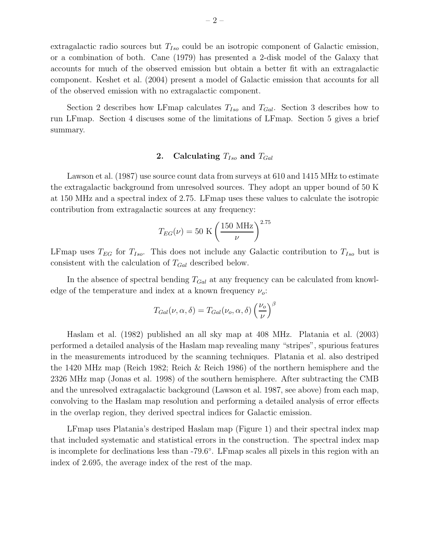extragalactic radio sources but  $T_{Iso}$  could be an isotropic component of Galactic emission, or a combination of both. Cane (1979) has presented a 2-disk model of the Galaxy that accounts for much of the observed emission but obtain a better fit with an extragalactic component. Keshet et al. (2004) present a model of Galactic emission that accounts for all of the observed emission with no extragalactic component.

Section 2 describes how LFmap calculates  $T_{Iso}$  and  $T_{Gal}$ . Section 3 describes how to run LFmap. Section 4 discuses some of the limitations of LFmap. Section 5 gives a brief summary.

# 2. Calculating  $T_{Iso}$  and  $T_{Gal}$

Lawson et al. (1987) use source count data from surveys at 610 and 1415 MHz to estimate the extragalactic background from unresolved sources. They adopt an upper bound of 50 K at 150 MHz and a spectral index of 2.75. LFmap uses these values to calculate the isotropic contribution from extragalactic sources at any frequency:

$$
T_{EG}(\nu) = 50 \text{ K} \left(\frac{150 \text{ MHz}}{\nu}\right)^{2.75}
$$

LFmap uses  $T_{EG}$  for  $T_{Iso}$ . This does not include any Galactic contribution to  $T_{Iso}$  but is consistent with the calculation of  $T_{Gal}$  described below.

In the absence of spectral bending  $T_{Gal}$  at any frequency can be calculated from knowledge of the temperature and index at a known frequency  $\nu_o$ :

$$
T_{Gal}(\nu, \alpha, \delta) = T_{Gal}(\nu_o, \alpha, \delta) \left(\frac{\nu_o}{\nu}\right)^{\beta}
$$

Haslam et al. (1982) published an all sky map at 408 MHz. Platania et al. (2003) performed a detailed analysis of the Haslam map revealing many "stripes", spurious features in the measurements introduced by the scanning techniques. Platania et al. also destriped the 1420 MHz map (Reich 1982; Reich & Reich 1986) of the northern hemisphere and the 2326 MHz map (Jonas et al. 1998) of the southern hemisphere. After subtracting the CMB and the unresolved extragalactic background (Lawson et al. 1987, see above) from each map, convolving to the Haslam map resolution and performing a detailed analysis of error effects in the overlap region, they derived spectral indices for Galactic emission.

LFmap uses Platania's destriped Haslam map (Figure 1) and their spectral index map that included systematic and statistical errors in the construction. The spectral index map is incomplete for declinations less than -79.6◦ . LFmap scales all pixels in this region with an index of 2.695, the average index of the rest of the map.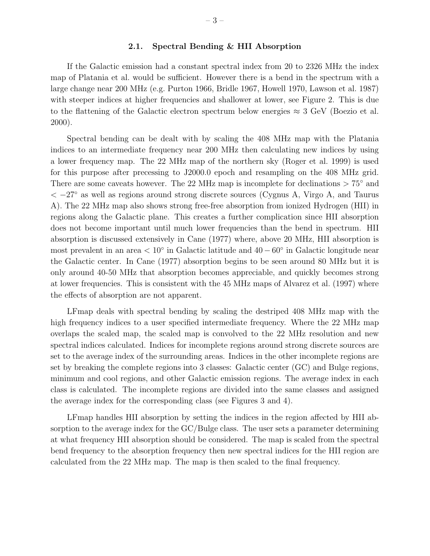## 2.1. Spectral Bending & HII Absorption

If the Galactic emission had a constant spectral index from 20 to 2326 MHz the index map of Platania et al. would be sufficient. However there is a bend in the spectrum with a large change near 200 MHz (e.g. Purton 1966, Bridle 1967, Howell 1970, Lawson et al. 1987) with steeper indices at higher frequencies and shallower at lower, see Figure 2. This is due to the flattening of the Galactic electron spectrum below energies  $\approx 3$  GeV (Boezio et al. 2000).

Spectral bending can be dealt with by scaling the 408 MHz map with the Platania indices to an intermediate frequency near 200 MHz then calculating new indices by using a lower frequency map. The 22 MHz map of the northern sky (Roger et al. 1999) is used for this purpose after precessing to J2000.0 epoch and resampling on the 408 MHz grid. There are some caveats however. The 22 MHz map is incomplete for declinations  $> 75°$  and  $<-27^{\circ}$  as well as regions around strong discrete sources (Cygnus A, Virgo A, and Taurus A). The 22 MHz map also shows strong free-free absorption from ionized Hydrogen (HII) in regions along the Galactic plane. This creates a further complication since HII absorption does not become important until much lower frequencies than the bend in spectrum. HII absorption is discussed extensively in Cane (1977) where, above 20 MHz, HII absorption is most prevalent in an area  $< 10^{\circ}$  in Galactic latitude and  $40 - 60^{\circ}$  in Galactic longitude near the Galactic center. In Cane (1977) absorption begins to be seen around 80 MHz but it is only around 40-50 MHz that absorption becomes appreciable, and quickly becomes strong at lower frequencies. This is consistent with the 45 MHz maps of Alvarez et al. (1997) where the effects of absorption are not apparent.

LFmap deals with spectral bending by scaling the destriped 408 MHz map with the high frequency indices to a user specified intermediate frequency. Where the 22 MHz map overlaps the scaled map, the scaled map is convolved to the 22 MHz resolution and new spectral indices calculated. Indices for incomplete regions around strong discrete sources are set to the average index of the surrounding areas. Indices in the other incomplete regions are set by breaking the complete regions into 3 classes: Galactic center (GC) and Bulge regions, minimum and cool regions, and other Galactic emission regions. The average index in each class is calculated. The incomplete regions are divided into the same classes and assigned the average index for the corresponding class (see Figures 3 and 4).

LFmap handles HII absorption by setting the indices in the region affected by HII absorption to the average index for the GC/Bulge class. The user sets a parameter determining at what frequency HII absorption should be considered. The map is scaled from the spectral bend frequency to the absorption frequency then new spectral indices for the HII region are calculated from the 22 MHz map. The map is then scaled to the final frequency.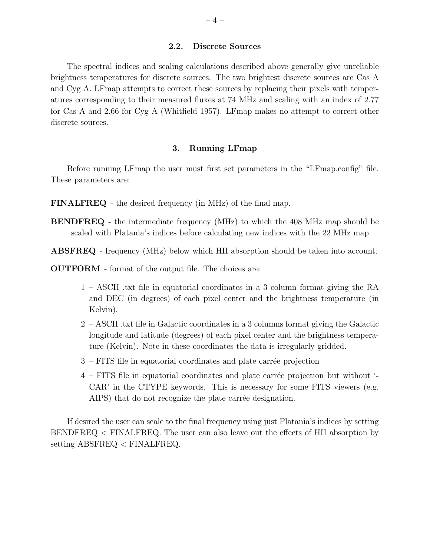#### 2.2. Discrete Sources

The spectral indices and scaling calculations described above generally give unreliable brightness temperatures for discrete sources. The two brightest discrete sources are Cas A and Cyg A. LFmap attempts to correct these sources by replacing their pixels with temperatures corresponding to their measured fluxes at 74 MHz and scaling with an index of 2.77 for Cas A and 2.66 for Cyg A (Whitfield 1957). LFmap makes no attempt to correct other discrete sources.

## 3. Running LFmap

Before running LFmap the user must first set parameters in the "LFmap.config" file. These parameters are:

- FINALFREQ the desired frequency (in MHz) of the final map.
- BENDFREQ the intermediate frequency (MHz) to which the 408 MHz map should be scaled with Platania's indices before calculating new indices with the 22 MHz map.
- ABSFREQ frequency (MHz) below which HII absorption should be taken into account.
- OUTFORM format of the output file. The choices are:
	- 1 ASCII .txt file in equatorial coordinates in a 3 column format giving the RA and DEC (in degrees) of each pixel center and the brightness temperature (in Kelvin).
	- 2 ASCII .txt file in Galactic coordinates in a 3 columns format giving the Galactic longitude and latitude (degrees) of each pixel center and the brightness temperature (Kelvin). Note in these coordinates the data is irregularly gridded.
	- $3$  FITS file in equatorial coordinates and plate carrée projection
	- $4$  FITS file in equatorial coordinates and plate carrée projection but without  $\sim$ CAR' in the CTYPE keywords. This is necessary for some FITS viewers (e.g. AIPS) that do not recognize the plate carrée designation.

If desired the user can scale to the final frequency using just Platania's indices by setting BENDFREQ < FINALFREQ. The user can also leave out the effects of HII absorption by setting ABSFREQ < FINALFREQ.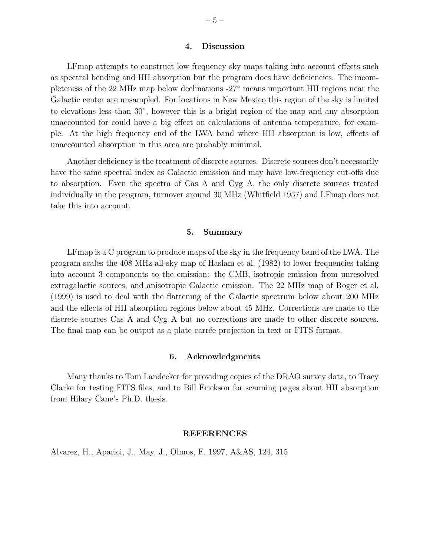#### 4. Discussion

LFmap attempts to construct low frequency sky maps taking into account effects such as spectral bending and HII absorption but the program does have deficiencies. The incompleteness of the 22 MHz map below declinations -27◦ means important HII regions near the Galactic center are unsampled. For locations in New Mexico this region of the sky is limited to elevations less than 30<sup>°</sup>, however this is a bright region of the map and any absorption unaccounted for could have a big effect on calculations of antenna temperature, for example. At the high frequency end of the LWA band where HII absorption is low, effects of unaccounted absorption in this area are probably minimal.

Another deficiency is the treatment of discrete sources. Discrete sources don't necessarily have the same spectral index as Galactic emission and may have low-frequency cut-offs due to absorption. Even the spectra of Cas A and Cyg A, the only discrete sources treated individually in the program, turnover around 30 MHz (Whitfield 1957) and LFmap does not take this into account.

### 5. Summary

LFmap is a C program to produce maps of the sky in the frequency band of the LWA. The program scales the 408 MHz all-sky map of Haslam et al. (1982) to lower frequencies taking into account 3 components to the emission: the CMB, isotropic emission from unresolved extragalactic sources, and anisotropic Galactic emission. The 22 MHz map of Roger et al. (1999) is used to deal with the flattening of the Galactic spectrum below about 200 MHz and the effects of HII absorption regions below about 45 MHz. Corrections are made to the discrete sources Cas A and Cyg A but no corrections are made to other discrete sources. The final map can be output as a plate carrée projection in text or FITS format.

#### 6. Acknowledgments

Many thanks to Tom Landecker for providing copies of the DRAO survey data, to Tracy Clarke for testing FITS files, and to Bill Erickson for scanning pages about HII absorption from Hilary Cane's Ph.D. thesis.

## REFERENCES

Alvarez, H., Aparici, J., May, J., Olmos, F. 1997, A&AS, 124, 315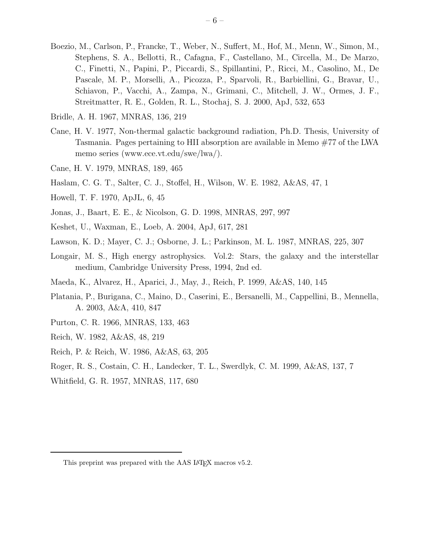- Boezio, M., Carlson, P., Francke, T., Weber, N., Suffert, M., Hof, M., Menn, W., Simon, M., Stephens, S. A., Bellotti, R., Cafagna, F., Castellano, M., Circella, M., De Marzo, C., Finetti, N., Papini, P., Piccardi, S., Spillantini, P., Ricci, M., Casolino, M., De Pascale, M. P., Morselli, A., Picozza, P., Sparvoli, R., Barbiellini, G., Bravar, U., Schiavon, P., Vacchi, A., Zampa, N., Grimani, C., Mitchell, J. W., Ormes, J. F., Streitmatter, R. E., Golden, R. L., Stochaj, S. J. 2000, ApJ, 532, 653
- Bridle, A. H. 1967, MNRAS, 136, 219
- Cane, H. V. 1977, Non-thermal galactic background radiation, Ph.D. Thesis, University of Tasmania. Pages pertaining to HII absorption are available in Memo #77 of the LWA memo series (www.ece.vt.edu/swe/lwa/).
- Cane, H. V. 1979, MNRAS, 189, 465
- Haslam, C. G. T., Salter, C. J., Stoffel, H., Wilson, W. E. 1982, A&AS, 47, 1
- Howell, T. F. 1970, ApJL, 6, 45
- Jonas, J., Baart, E. E., & Nicolson, G. D. 1998, MNRAS, 297, 997
- Keshet, U., Waxman, E., Loeb, A. 2004, ApJ, 617, 281
- Lawson, K. D.; Mayer, C. J.; Osborne, J. L.; Parkinson, M. L. 1987, MNRAS, 225, 307
- Longair, M. S., High energy astrophysics. Vol.2: Stars, the galaxy and the interstellar medium, Cambridge University Press, 1994, 2nd ed.
- Maeda, K., Alvarez, H., Aparici, J., May, J., Reich, P. 1999, A&AS, 140, 145
- Platania, P., Burigana, C., Maino, D., Caserini, E., Bersanelli, M., Cappellini, B., Mennella, A. 2003, A&A, 410, 847
- Purton, C. R. 1966, MNRAS, 133, 463
- Reich, W. 1982, A&AS, 48, 219
- Reich, P. & Reich, W. 1986, A&AS, 63, 205
- Roger, R. S., Costain, C. H., Landecker, T. L., Swerdlyk, C. M. 1999, A&AS, 137, 7
- Whitfield, G. R. 1957, MNRAS, 117, 680

This preprint was prepared with the AAS LAT<sub>EX</sub> macros v5.2.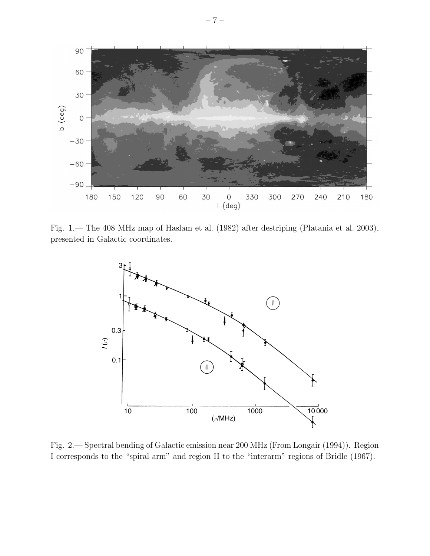

Fig. 1.— The 408 MHz map of Haslam et al. (1982) after destriping (Platania et al. 2003), presented in Galactic coordinates.



Fig. 2.— Spectral bending of Galactic emission near 200 MHz (From Longair (1994)). Region I corresponds to the "spiral arm" and region II to the "interarm" regions of Bridle (1967).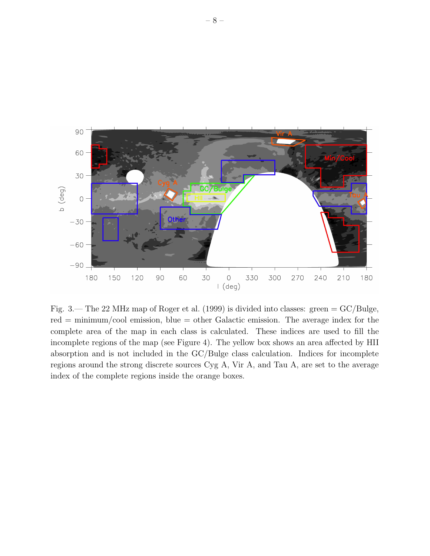

Fig. 3.— The 22 MHz map of Roger et al. (1999) is divided into classes: green  $=$  GC/Bulge,  $red = minimum/cool$  emission, blue  $=$  other Galactic emission. The average index for the complete area of the map in each class is calculated. These indices are used to fill the incomplete regions of the map (see Figure 4). The yellow box shows an area affected by HII absorption and is not included in the GC/Bulge class calculation. Indices for incomplete regions around the strong discrete sources Cyg A, Vir A, and Tau A, are set to the average index of the complete regions inside the orange boxes.